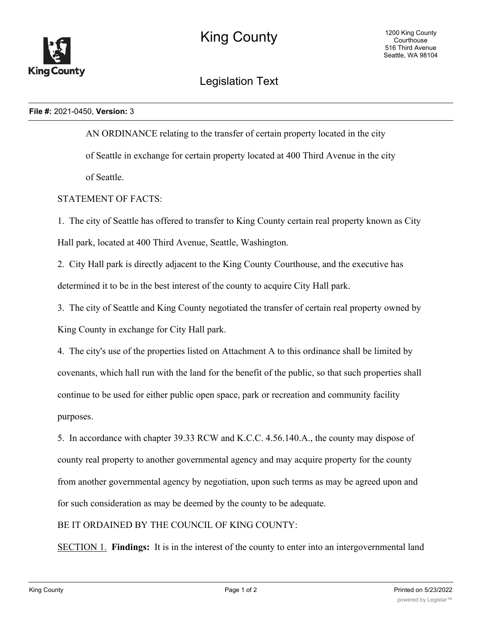

## Legislation Text

## **File #:** 2021-0450, **Version:** 3

AN ORDINANCE relating to the transfer of certain property located in the city of Seattle in exchange for certain property located at 400 Third Avenue in the city of Seattle.

## STATEMENT OF FACTS:

1. The city of Seattle has offered to transfer to King County certain real property known as City Hall park, located at 400 Third Avenue, Seattle, Washington.

2. City Hall park is directly adjacent to the King County Courthouse, and the executive has determined it to be in the best interest of the county to acquire City Hall park.

3. The city of Seattle and King County negotiated the transfer of certain real property owned by King County in exchange for City Hall park.

4. The city's use of the properties listed on Attachment A to this ordinance shall be limited by covenants, which hall run with the land for the benefit of the public, so that such properties shall continue to be used for either public open space, park or recreation and community facility purposes.

5. In accordance with chapter 39.33 RCW and K.C.C. 4.56.140.A., the county may dispose of county real property to another governmental agency and may acquire property for the county from another governmental agency by negotiation, upon such terms as may be agreed upon and for such consideration as may be deemed by the county to be adequate.

## BE IT ORDAINED BY THE COUNCIL OF KING COUNTY:

SECTION 1. **Findings:** It is in the interest of the county to enter into an intergovernmental land